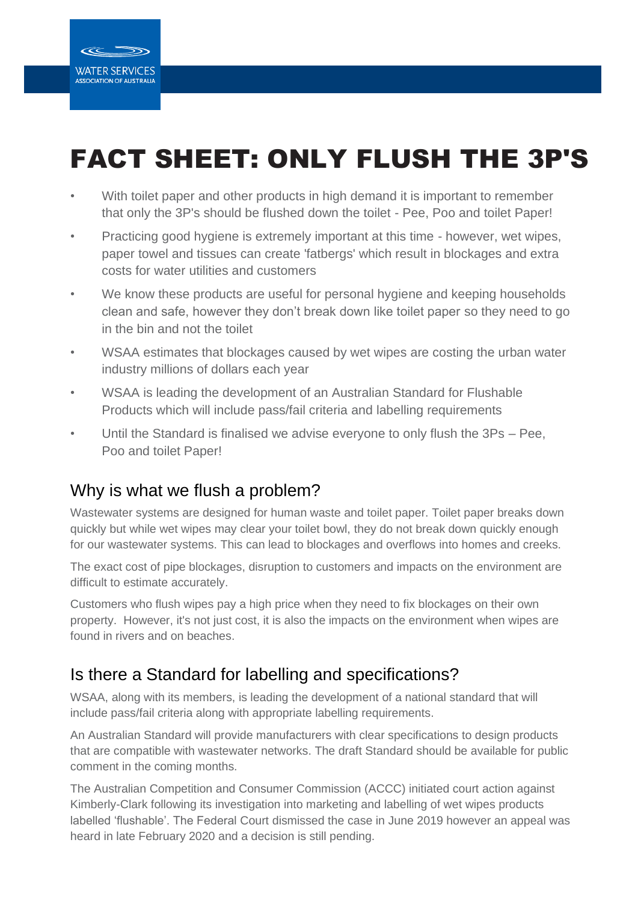

# FACT SHEET: ONLY FLUSH THE 3P'S

- With toilet paper and other products in high demand it is important to remember that only the 3P's should be flushed down the toilet - Pee, Poo and toilet Paper!
- Practicing good hygiene is extremely important at this time however, wet wipes, paper towel and tissues can create 'fatbergs' which result in blockages and extra costs for water utilities and customers
- We know these products are useful for personal hygiene and keeping households clean and safe, however they don't break down like toilet paper so they need to go in the bin and not the toilet
- WSAA estimates that blockages caused by wet wipes are costing the urban water industry millions of dollars each year
- WSAA is leading the development of an Australian Standard for Flushable Products which will include pass/fail criteria and labelling requirements
- Until the Standard is finalised we advise everyone to only flush the 3Ps Pee, Poo and toilet Paper!

# Why is what we flush a problem?

Wastewater systems are designed for human waste and toilet paper. Toilet paper breaks down quickly but while wet wipes may clear your toilet bowl, they do not break down quickly enough for our wastewater systems. This can lead to blockages and overflows into homes and creeks.

The exact cost of pipe blockages, disruption to customers and impacts on the environment are difficult to estimate accurately.

Customers who flush wipes pay a high price when they need to fix blockages on their own property. However, it's not just cost, it is also the impacts on the environment when wipes are found in rivers and on beaches.

### Is there a Standard for labelling and specifications?

WSAA, along with its members, is leading the development of a national standard that will include pass/fail criteria along with appropriate labelling requirements.

An Australian Standard will provide manufacturers with clear specifications to design products that are compatible with wastewater networks. The draft Standard should be available for public comment in the coming months.

The Australian Competition and Consumer Commission (ACCC) initiated court action against Kimberly-Clark following its investigation into marketing and labelling of wet wipes products labelled 'flushable'. The Federal Court dismissed the case in June 2019 however an appeal was heard in late February 2020 and a decision is still pending.